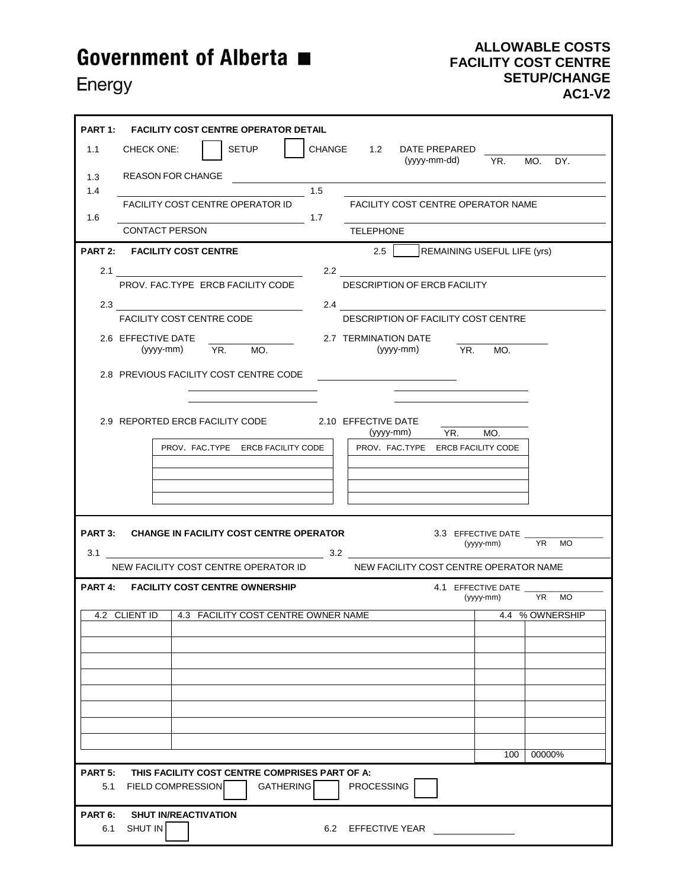## Government of Alberta ■

Energy

## **ALLOWABLE COSTS FACILITY COST CENTRE SETUP/CHANGE AC1-V2**

 $\overline{\phantom{0}}$ 

| PART 1: FACILITY COST CENTRE OPERATOR DETAIL                                   |                      |                                               |           |                          |
|--------------------------------------------------------------------------------|----------------------|-----------------------------------------------|-----------|--------------------------|
| <b>SETUP</b><br>1.1<br>CHECK ONE:                                              |                      | CHANGE 1.2 DATE PREPARED<br>(yyyy-mm-dd)      | YR.       | $MO$ .<br>DY.            |
| <b>REASON FOR CHANGE</b><br>1.3                                                |                      |                                               |           |                          |
| 1.4<br><b>FACILITY COST CENTRE OPERATOR ID</b>                                 | 1.5                  | FACILITY COST CENTRE OPERATOR NAME            |           |                          |
| 1.6<br>$\frac{1}{\sqrt{11}}$ 1.7                                               |                      |                                               |           |                          |
| <b>CONTACT PERSON</b>                                                          | <b>TELEPHONE</b>     |                                               |           |                          |
| PART 2: FACILITY COST CENTRE                                                   | 2.5                  | <b>REMAINING USEFUL LIFE (yrs)</b>            |           |                          |
| 2.1                                                                            |                      | 2.2 $\qquad \qquad$                           |           |                          |
| PROV. FAC.TYPE ERCB FACILITY CODE                                              |                      | DESCRIPTION OF ERCB FACILITY                  |           |                          |
| 2.3                                                                            | 2.4                  |                                               |           |                          |
| <b>FACILITY COST CENTRE CODE</b>                                               |                      | DESCRIPTION OF FACILITY COST CENTRE           |           |                          |
| 2.6 EFFECTIVE DATE<br>(yyyy-mm) YR.<br>MO.                                     | 2.7 TERMINATION DATE | (yyyy-mm) YR. MO.                             |           |                          |
|                                                                                |                      |                                               |           |                          |
| 2.8 PREVIOUS FACILITY COST CENTRE CODE                                         |                      | <u> 1980 - Jan Samuel Barbara, margaret e</u> |           |                          |
|                                                                                |                      |                                               |           |                          |
| 2.9 REPORTED ERCB FACILITY CODE 2.10 EFFECTIVE DATE                            |                      |                                               |           |                          |
|                                                                                |                      | (yyyy-mm) YR.                                 | MO.       |                          |
| PROV. FAC.TYPE ERCB FACILITY CODE                                              |                      | PROV. FAC.TYPE ERCB FACILITY CODE             |           |                          |
|                                                                                |                      |                                               |           |                          |
|                                                                                |                      |                                               |           |                          |
|                                                                                |                      |                                               |           |                          |
| PART 3: CHANGE IN FACILITY COST CENTRE OPERATOR                                |                      | 3.3 EFFECTIVE DATE                            |           |                          |
| $3.1$ $3.2$                                                                    |                      |                                               |           | (yyyy-mm) YR MO          |
| NEW FACILITY COST CENTRE OPERATOR ID<br>NEW FACILITY COST CENTRE OPERATOR NAME |                      |                                               |           |                          |
| PART 4: FACILITY COST CENTRE OWNERSHIP                                         |                      | 4.1 EFFECTIVE DATE                            |           |                          |
| 4.2 CLIENT ID   4.3 FACILITY COST CENTRE OWNER NAME                            |                      |                                               | (yyyy-mm) | YR MO<br>4.4 % OWNERSHIP |
|                                                                                |                      |                                               |           |                          |
|                                                                                |                      |                                               |           |                          |
|                                                                                |                      |                                               |           |                          |
|                                                                                |                      |                                               |           |                          |
|                                                                                |                      |                                               |           |                          |
|                                                                                |                      |                                               |           |                          |
|                                                                                |                      |                                               |           |                          |
|                                                                                |                      |                                               | 100       | 00000%                   |
| THIS FACILITY COST CENTRE COMPRISES PART OF A:<br><b>PART 5:</b>               |                      |                                               |           |                          |
| <b>FIELD COMPRESSION</b><br><b>GATHERING</b><br>5.1                            | <b>PROCESSING</b>    |                                               |           |                          |
| <b>SHUT IN/REACTIVATION</b><br>PART 6:                                         |                      |                                               |           |                          |
| SHUT IN<br>6.2 EFFECTIVE YEAR<br>6.1                                           |                      |                                               |           |                          |